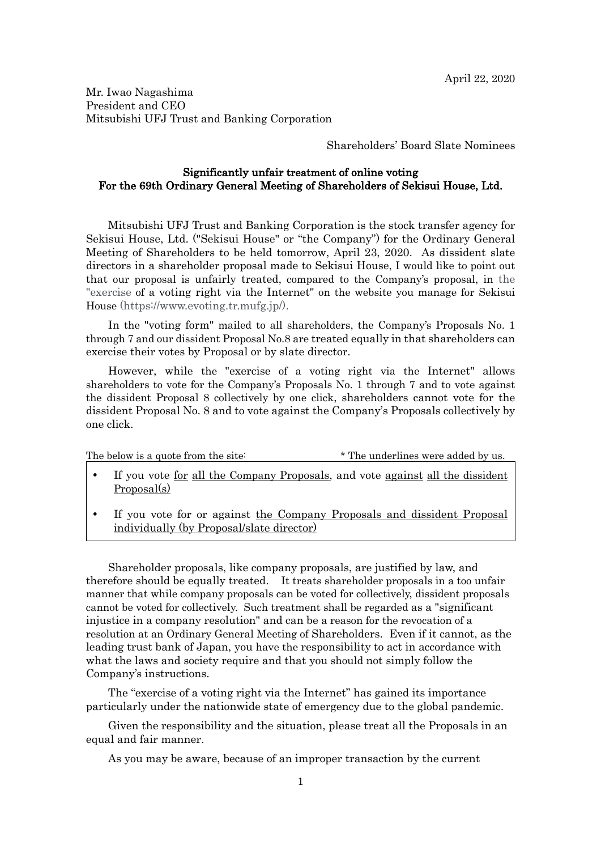Mr. Iwao Nagashima President and CEO Mitsubishi UFJ Trust and Banking Corporation

Shareholders' Board Slate Nominees

## Significantly unfair treatment of online voting For the 69th Ordinary General Meeting of Shareholders of Sekisui House, Ltd.

Mitsubishi UFJ Trust and Banking Corporation is the stock transfer agency for Sekisui House, Ltd. ("Sekisui House" or "the Company") for the Ordinary General Meeting of Shareholders to be held tomorrow, April 23, 2020. As dissident slate directors in a shareholder proposal made to Sekisui House, I would like to point out that our proposal is unfairly treated, compared to the Company's proposal, in the "exercise of a voting right via the Internet" on the website you manage for Sekisui House (https://www.evoting.tr.mufg.jp/).

In the "voting form" mailed to all shareholders, the Company's Proposals No. 1 through 7 and our dissident Proposal No.8 are treated equally in that shareholders can exercise their votes by Proposal or by slate director.

However, while the "exercise of a voting right via the Internet" allows shareholders to vote for the Company's Proposals No. 1 through 7 and to vote against the dissident Proposal 8 collectively by one click, shareholders cannot vote for the dissident Proposal No. 8 and to vote against the Company's Proposals collectively by one click.

| The below is a quote from the site: | * The underlines were added by us. |
|-------------------------------------|------------------------------------|
|-------------------------------------|------------------------------------|

- If you vote for all the Company Proposals, and vote against all the dissident Proposal(s)
- If you vote for or against the Company Proposals and dissident Proposal individually (by Proposal/slate director)

Shareholder proposals, like company proposals, are justified by law, and therefore should be equally treated. It treats shareholder proposals in a too unfair manner that while company proposals can be voted for collectively, dissident proposals cannot be voted for collectively. Such treatment shall be regarded as a "significant injustice in a company resolution" and can be a reason for the revocation of a resolution at an Ordinary General Meeting of Shareholders. Even if it cannot, as the leading trust bank of Japan, you have the responsibility to act in accordance with what the laws and society require and that you should not simply follow the Company's instructions.

The "exercise of a voting right via the Internet" has gained its importance particularly under the nationwide state of emergency due to the global pandemic.

Given the responsibility and the situation, please treat all the Proposals in an equal and fair manner.

As you may be aware, because of an improper transaction by the current